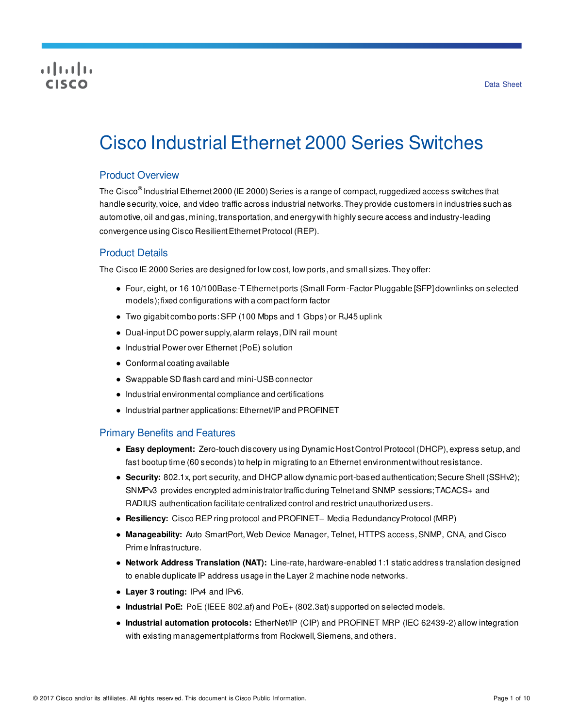# CISCO

# Cisco Industrial Ethernet 2000 Series Switches

# Product Overview

The Cisco® Industrial Ethernet 2000 (IE 2000) Series is a range of compact, ruggedized access switches that handle security, voice, and video traffic across industrial networks. They provide customers in industries such as automotive, oil and gas, mining, transportation, and energy with highly secure access and industry-leading convergence using Cisco Resilient Ethernet Protocol (REP).

# Product Details

The Cisco IE 2000 Series are designed for low cost, low ports, and small sizes. They offer:

- Four, eight, or 16 10/100Base-T Ethernet ports (Small Form-Factor Pluggable [SFP] downlinks on selected models); fixed configurations with a compact form factor
- Two gigabit combo ports: SFP (100 Mbps and 1 Gbps) or RJ45 uplink
- Dual-input DC power supply, alarm relays, DIN rail mount
- Industrial Power over Ethernet (PoE) solution
- Conformal coating available
- Swappable SD flash card and mini-USB connector
- Industrial environmental compliance and certifications
- Industrial partner applications: Ethernet/IP and PROFINET

#### Primary Benefits and Features

- **Easy deployment:** Zero-touch discovery using Dynamic Host Control Protocol (DHCP), express setup, and fast bootup time (60 seconds) to help in migrating to an Ethernet environment without resistance.
- **Security:** 802.1x, port security, and DHCP allow dynamic port-based authentication; Secure Shell (SSHv2); SNMPv3 provides encrypted administrator traffic during Telnet and SNMP sessions; TACACS+ and RADIUS authentication facilitate centralized control and restrict unauthorized users.
- **Resiliency:** Cisco REP ring protocol and PROFINET– Media Redundancy Protocol (MRP)
- **Manageability:** Auto SmartPort, Web Device Manager, Telnet, HTTPS access, SNMP, CNA, and Cisco Prime Infrastructure.
- **Network Address Translation (NAT):** Line-rate, hardware-enabled 1:1 static address translation designed to enable duplicate IP address usage in the Layer 2 machine node networks.
- **Layer 3 routing:** IPv4 and IPv6.
- **Industrial PoE:** PoE (IEEE 802.af) and PoE+ (802.3at) supported on selected models.
- **Industrial automation protocols:** EtherNet/IP (CIP) and PROFINET MRP (IEC 62439-2) allow integration with existing management platforms from Rockwell, Siemens, and others.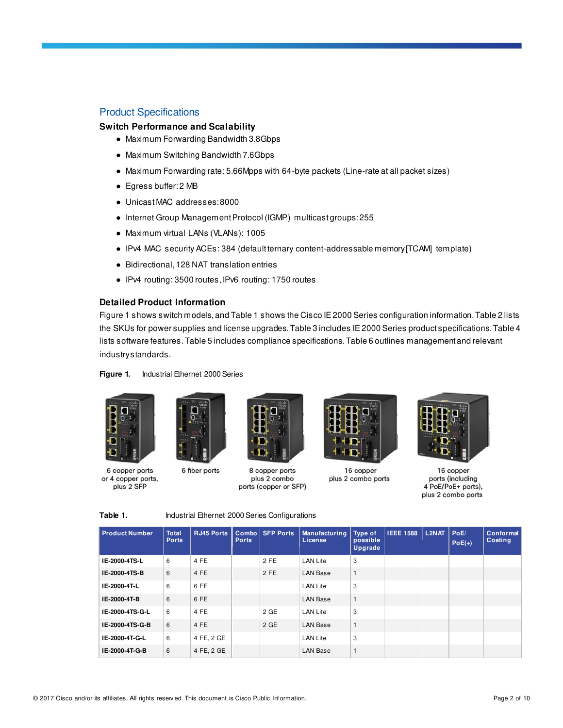# Product Specifications

## **Switch Performance and Scalability**

- Maximum Forwarding Bandwidth 3.8Gbps
- Maximum Switching Bandwidth 7.6Gbps
- Maximum Forwarding rate: 5.66Mpps with 64-byte packets (Line-rate at all packet sizes)
- Egress buffer: 2 MB
- Unicast MAC addresses: 8000
- Internet Group Management Protocol (IGMP) multicast groups: 255
- Maximum virtual LANs (VLANs): 1005
- IPv4 MAC security ACEs: 384 (default ternary content-addressable memory [TCAM] template)
- Bidirectional, 128 NAT translation entries
- IPv4 routing: 3500 routes, IPv6 routing: 1750 routes

#### **Detailed Product Information**

Figure 1 shows switch models, and Table 1 shows the Cisco IE 2000 Series configuration information. Table 2 lists the SKUs for power supplies and license upgrades. Table 3 includes IE 2000 Series product specifications. Table 4 lists software features. Table 5 includes compliance specifications. Table 6 outlines management and relevant industry standards.

#### **Figure 1.** Industrial Ethernet 2000 Series





6 copper ports or 4 copper ports, plus 2 SFP





8 copper ports plus 2 combo ports (copper or SFP)



16 copper plus 2 combo ports



16 copper ports (including 4 PoE/PoE+ ports), plus 2 combo ports

Table 1. **Industrial Ethernet 2000 Series Configurations** 

| <b>Product Number</b> | <b>Total</b><br><b>Ports</b> | <b>RJ45 Ports</b> | Combo<br><b>Ports</b> | <b>SFP Ports</b> | <b>Manufacturing</b><br>License | Type of<br>possible<br>Upgrade | <b>IEEE 1588</b> | L <sub>2NAT</sub> | PoE/<br>$PoE(+)$ | Conformal<br>Coating |
|-----------------------|------------------------------|-------------------|-----------------------|------------------|---------------------------------|--------------------------------|------------------|-------------------|------------------|----------------------|
| IE-2000-4TS-L         | 6                            | 4 FE              |                       | 2 FE             | <b>LAN Lite</b>                 | 3                              |                  |                   |                  |                      |
| IE-2000-4TS-B         | 6                            | 4 FE              |                       | 2 FE             | <b>LAN Base</b>                 | $\mathbf{1}$                   |                  |                   |                  |                      |
| IE-2000-4T-L          | 6                            | 6 FE              |                       |                  | <b>LAN Lite</b>                 | 3                              |                  |                   |                  |                      |
| IE-2000-4T-B          | 6                            | 6 FE              |                       |                  | <b>LAN Base</b>                 | $\mathbf{1}$                   |                  |                   |                  |                      |
| IE-2000-4TS-G-L       | 6                            | 4 FE              |                       | 2 GE             | <b>LAN Lite</b>                 | 3                              |                  |                   |                  |                      |
| IE-2000-4TS-G-B       | 6                            | 4 FE              |                       | 2 GE             | <b>LAN Base</b>                 | $\mathbf{1}$                   |                  |                   |                  |                      |
| IE-2000-4T-G-L        | 6                            | 4 FE, 2 GE        |                       |                  | <b>LAN Lite</b>                 | 3                              |                  |                   |                  |                      |
| IE-2000-4T-G-B        | 6                            | 4 FE, 2 GE        |                       |                  | <b>LAN Base</b>                 | $\mathbf{1}$                   |                  |                   |                  |                      |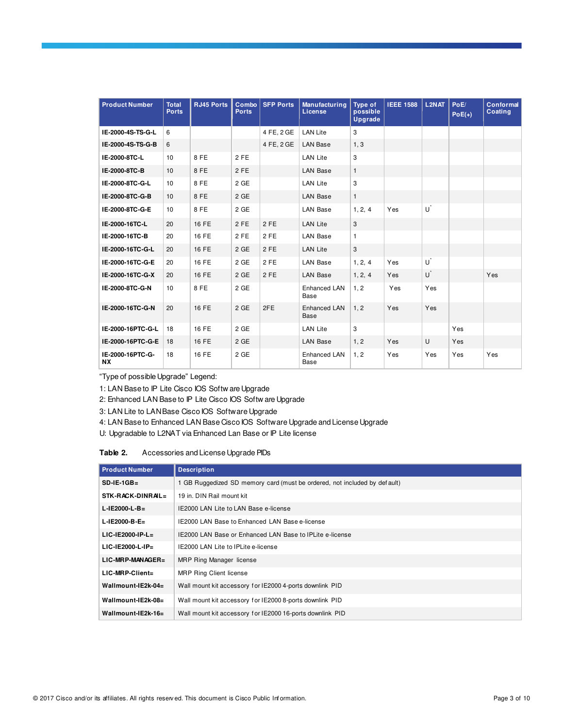| <b>Product Number</b>         | <b>Total</b><br><b>Ports</b> | <b>RJ45 Ports</b> | Combo<br><b>Ports</b> | <b>SFP Ports</b> | Manufacturing<br>License    | Type of<br>possible<br><b>Upgrade</b> | <b>IEEE 1588</b> | <b>L2NAT</b>   | PoE/<br>$PoE(+)$ | <b>Conformal</b><br>Coating |
|-------------------------------|------------------------------|-------------------|-----------------------|------------------|-----------------------------|---------------------------------------|------------------|----------------|------------------|-----------------------------|
| IE-2000-4S-TS-G-L             | 6                            |                   |                       | 4 FE, 2 GE       | <b>LAN Lite</b>             | 3                                     |                  |                |                  |                             |
| IE-2000-4S-TS-G-B             | 6                            |                   |                       | 4 FE, 2 GE       | <b>LAN Base</b>             | 1, 3                                  |                  |                |                  |                             |
| IE-2000-8TC-L                 | 10                           | 8 FE              | $2$ FE                |                  | <b>LAN Lite</b>             | 3                                     |                  |                |                  |                             |
| IE-2000-8TC-B                 | 10                           | 8 FE              | 2 FE                  |                  | <b>LAN Base</b>             | $\mathbf{1}$                          |                  |                |                  |                             |
| IE-2000-8TC-G-L               | 10                           | 8FE               | 2 GE                  |                  | <b>LAN Lite</b>             | 3                                     |                  |                |                  |                             |
| IE-2000-8TC-G-B               | 10                           | 8 FE              | $2$ GE                |                  | <b>LAN Base</b>             | $\mathbf{1}$                          |                  |                |                  |                             |
| IE-2000-8TC-G-E               | 10                           | 8 FE              | 2 GE                  |                  | <b>LAN Base</b>             | 1, 2, 4                               | Yes              | $\mathsf{U}^*$ |                  |                             |
| IE-2000-16TC-L                | 20                           | 16 FE             | 2 FE                  | 2 FE             | <b>LAN Lite</b>             | 3                                     |                  |                |                  |                             |
| IE-2000-16TC-B                | 20                           | 16 FE             | 2 FE                  | 2 FE             | <b>LAN Base</b>             | $\mathbf{1}$                          |                  |                |                  |                             |
| IE-2000-16TC-G-L              | 20                           | 16 FE             | $2$ GE                | 2 FE             | <b>LAN Lite</b>             | 3                                     |                  |                |                  |                             |
| IE-2000-16TC-G-E              | 20                           | 16 FE             | $2$ GE                | 2 FE             | <b>LAN Base</b>             | 1, 2, 4                               | Yes              | U              |                  |                             |
| IE-2000-16TC-G-X              | 20                           | 16 FE             | 2 GE                  | 2 FE             | <b>LAN Base</b>             | 1, 2, 4                               | Yes              | U              |                  | Yes                         |
| IE-2000-8TC-G-N               | 10                           | 8 FE              | 2 GE                  |                  | Enhanced LAN<br>Base        | 1, 2                                  | Yes              | Yes            |                  |                             |
| IE-2000-16TC-G-N              | 20                           | 16 FE             | 2 GE                  | 2FE              | <b>Enhanced LAN</b><br>Base | 1, 2                                  | Yes              | Yes            |                  |                             |
| IE-2000-16PTC-G-L             | 18                           | 16 FE             | 2 GE                  |                  | <b>LAN Lite</b>             | 3                                     |                  |                | Yes              |                             |
| IE-2000-16PTC-G-E             | 18                           | 16 FE             | $2$ GE                |                  | <b>LAN Base</b>             | 1, 2                                  | Yes              | U              | Yes              |                             |
| IE-2000-16PTC-G-<br><b>NX</b> | 18                           | 16 FE             | $2$ GE                |                  | Enhanced LAN<br>Base        | 1, 2                                  | Yes              | Yes            | Yes              | Yes                         |

"Type of possible Upgrade" Legend:

1: LAN Base to IP Lite Cisco IOS Softw are Upgrade

2: Enhanced LAN Base to IP Lite Cisco IOS Softw are Upgrade

3: LAN Lite to LAN Base Cisco IOS Software Upgrade

4: LAN Base to Enhanced LAN Base Cisco IOS Software Upgrade and License Upgrade

U: Upgradable to L2NAT via Enhanced Lan Base or IP Lite license

#### **Table 2.** Accessories and License Upgrade PIDs

| <b>Product Number</b> | <b>Description</b>                                                        |
|-----------------------|---------------------------------------------------------------------------|
| $SD-IE-1GB=$          | 1 GB Ruggedized SD memory card (must be ordered, not included by default) |
| STK-RACK-DINRAIL=     | 19 in. DIN Rail mount kit                                                 |
| $L$ -IE2000-L-B=      | IE2000 LAN Lite to LAN Base e-license                                     |
| $L$ -IE2000-B-E=      | IE2000 LAN Base to Enhanced LAN Base e-license                            |
| $LIC-IE2000-IP-L=$    | IE2000 LAN Base or Enhanced LAN Base to IPLite e-license                  |
| $LIC-IE2000-L-IP=$    | IE2000 LAN Lite to IPLite e-license                                       |
| $LIC$ -MRP-MANAGER=   | MRP Ring Manager license                                                  |
| $LIC-MRP-Client =$    | <b>MRP Ring Client license</b>                                            |
| Wallmount-IE2k-04=    | Wall mount kit accessory for IE2000 4-ports downlink PID                  |
| Wallmount-IE2k-08=    | Wall mount kit accessory for IE2000 8-ports downlink PID                  |
| Wallmount-IE2k-16 $=$ | Wall mount kit accessory for IE2000 16-ports downlink PID                 |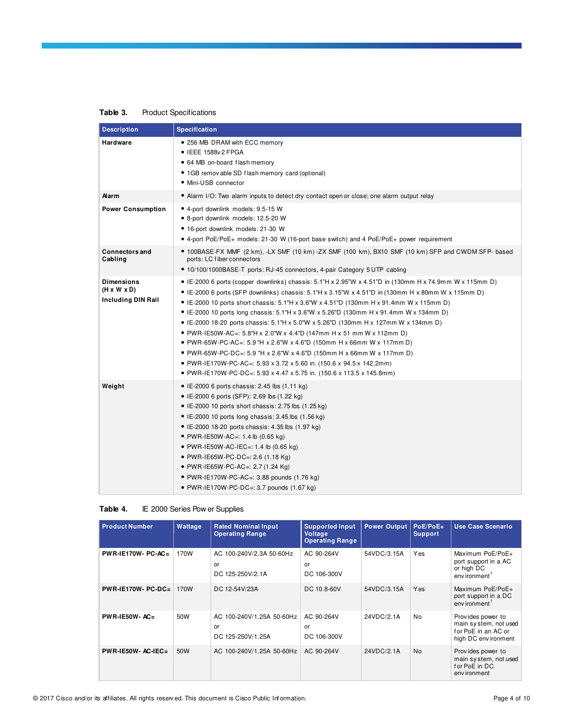# **Table 3.** Product Specifications

| <b>Description</b>                                                        | <b>Specification</b>                                                                                                                                                                                                                                                                                                                                                                                                                                                                                                                                                                                                                                                                                                                                                                                                                                                                                           |
|---------------------------------------------------------------------------|----------------------------------------------------------------------------------------------------------------------------------------------------------------------------------------------------------------------------------------------------------------------------------------------------------------------------------------------------------------------------------------------------------------------------------------------------------------------------------------------------------------------------------------------------------------------------------------------------------------------------------------------------------------------------------------------------------------------------------------------------------------------------------------------------------------------------------------------------------------------------------------------------------------|
| Hardware                                                                  | • 256 MB DRAM with ECC memory<br>• IEEE 1588v2 FPGA<br>• 64 MB on-board flash memory<br>• 1GB remov able SD flash memory card (optional)<br>• Mini-USB connector                                                                                                                                                                                                                                                                                                                                                                                                                                                                                                                                                                                                                                                                                                                                               |
| Alarm                                                                     | • Alarm I/O: Two alarm inputs to detect dry contact open or close; one alarm output relay                                                                                                                                                                                                                                                                                                                                                                                                                                                                                                                                                                                                                                                                                                                                                                                                                      |
| <b>Power Consumption</b>                                                  | • 4-port downlink models: 9.5-15 W<br>• 8-port downlink models: 12.5-20 W<br>· 16-port downlink models: 21-30 W<br>• 4-port PoE/PoE+ models: 21-30 W (16-port base switch) and 4 PoE/PoE+ power requirement                                                                                                                                                                                                                                                                                                                                                                                                                                                                                                                                                                                                                                                                                                    |
| <b>Connectors and</b><br>Cabling                                          | • 100BASE-FX MMF (2 km), -LX SMF (10 km) -ZX SMF (100 km), BX10 SMF (10 km) SFP and CWDM SFP- based<br>ports: LC fiber connectors<br>• 10/100/1000BASE-T ports: RJ-45 connectors, 4-pair Category 5 UTP cabling                                                                                                                                                                                                                                                                                                                                                                                                                                                                                                                                                                                                                                                                                                |
| <b>Dimensions</b><br>$(H \times W \times D)$<br><b>Including DIN Rail</b> | • IE-2000 6 ports (copper downlinks) chassis: $5.1$ "H x 2.95"W x 4.51"D in (130mm H x 74.9mm W x 115mm D)<br>• IE-2000 6 ports (SFP downlinks) chassis: $5.1^{\circ}$ H x $3.15^{\circ}$ W x $4.51^{\circ}$ D in (130mm H x 80mm W x 115mm D)<br>• IE-2000 10 ports short chassis: $5.1$ "H x $3.6$ "W x $4.51$ "D (130mm H x 91.4mm W x 115mm D)<br>• IE-2000 10 ports long chassis: 5.1"H x 3.6"W x 5.26"D (130mm H x 91.4mm W x 134mm D)<br>• IE-2000 18-20 ports chassis: 5.1"H x 5.0"W x 5.26"D (130mm H x 127mm W x 134mm D)<br>• PWR-IE50W-AC=: 5.8"H x 2.0"W x 4.4"D (147mm H x 51 mm W x 112mm D)<br>● PWR-65W-PC-AC=: 5.9 "H x 2.6"W x 4.6"D (150mm H x 66mm W x 117mm D)<br>• PWR-65W-PC-DC=: 5.9 "H x 2.6"W x 4.6"D (150mm H x 66mm W x 117mm D)<br>• PWR-IE170W-PC-AC=: 5.93 x 3.72 x 5.60 in. (150.6 x 94.5 x 142.2mm)<br>● PWR-IE170W-PC-DC=: 5.93 x 4.47 x 5.75 in. (150.6 x 113.5 x 145.8mm) |
| Weight                                                                    | • IE-2000 6 ports chassis: 2.45 lbs $(1.11 \text{ kg})$<br>• IE-2000 6 ports (SFP): 2.69 lbs (1.22 kg)<br>• IE-2000 10 ports short chassis: 2.75 lbs $(1.25 \text{ kg})$<br>• IE-2000 10 ports long chassis: $3.45$ lbs $(1.56 \text{ kg})$<br>• IE-2000 18-20 ports chassis: 4.35 lbs $(1.97 \text{ kg})$<br>• PWR-IE50W-AC=: 1.4 lb (0.65 kg)<br>• PWR-IE50W-AC-IEC=: 1.4 lb $(0.65 \text{ kg})$<br>• PWR-IE65W-PC-DC=: 2.6 (1.18 Kg)<br>• PWR-IE65W-PC-AC=: 2.7 (1.24 Kg)<br>• PWR-IE170W-PC-AC=: 3.88 pounds $(1.76 \text{ kg})$<br>• PWR-IE170W-PC-DC=: 3.7 pounds $(1.67 \text{ kg})$                                                                                                                                                                                                                                                                                                                    |

#### **Table 4.** IE 2000 Series Pow er Supplies

| <b>Product Number</b> | Wattage | <b>Rated Nominal Input</b><br><b>Operating Range</b> | <b>Supported Input</b><br>Voltage<br><b>Operating Range</b> | <b>Power Output</b> | PoE/PoE+<br><b>Support</b> | <b>Use Case Scenario</b>                                                                  |
|-----------------------|---------|------------------------------------------------------|-------------------------------------------------------------|---------------------|----------------------------|-------------------------------------------------------------------------------------------|
| $PWR-IE170W-PC-AC=$   | 170W    | AC 100-240V/2.3A 50-60Hz<br>or<br>DC 125-250V/2.1A   | AC 90-264V<br>or<br>DC 106-300V                             | 54VDC/3.15A         | Yes                        | Maximum PoE/PoE+<br>port support in a AC<br>or high DC<br>env ironment                    |
| $PWR-IE170W-PC-DC=$   | 170W    | DC 12-54V/23A                                        | DC 10.8-60V                                                 | 54VDC/3.15A         | Yes                        | Maximum PoE/PoE+<br>port support in a DC<br>env ironment <sup>1</sup>                     |
| $PWR-IE50W-AC=$       | 50W     | AC 100-240V/1.25A 50-60Hz<br>or<br>DC 125-250V/1.25A | AC 90-264V<br>or<br>DC 106-300V                             | 24VDC/2.1A          | No                         | Provides power to<br>main system, not used<br>for PoE in an AC or<br>high DC env ironment |
| $PWR-IE50W-AC-IEC=$   | 50W     | AC 100-240V/1.25A 50-60Hz                            | AC 90-264V                                                  | 24VDC/2.1A          | <b>No</b>                  | Provides power to<br>main system, not used<br>for PoE in DC<br>env ironment               |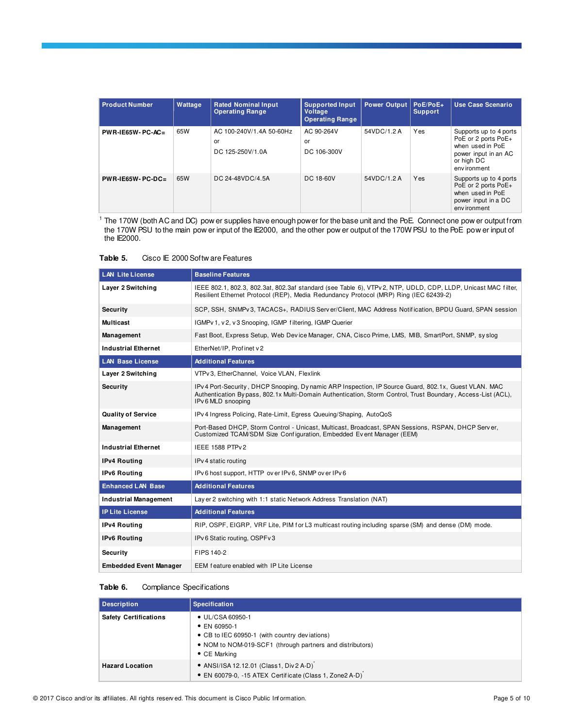| <b>Product Number</b> | Wattage | <b>Rated Nominal Input</b><br><b>Operating Range</b> | <b>Supported Input</b><br><b>Voltage</b><br><b>Operating Range</b> | <b>Power Output</b> | PoE/PoE+<br><b>Support</b> | Use Case Scenario                                                                                                       |
|-----------------------|---------|------------------------------------------------------|--------------------------------------------------------------------|---------------------|----------------------------|-------------------------------------------------------------------------------------------------------------------------|
| $PWR-IE65W-PC-AC=$    | 65W     | AC 100-240V/1.4A 50-60Hz<br>or<br>DC 125-250V/1.0A   | AC 90-264V<br>or<br>DC 106-300V                                    | 54VDC/1.2 A         | Yes                        | Supports up to 4 ports<br>PoE or 2 ports PoE+<br>when used in PoE<br>power input in an AC<br>or high DC<br>env ironment |
| $PWR-IE65W-PC-DC=$    | 65W     | DC 24-48VDC/4.5A                                     | DC 18-60V                                                          | 54VDC/1.2 A         | Yes                        | Supports up to 4 ports<br>PoE or 2 ports PoE+<br>when used in PoE<br>power input in a DC<br>env ironment                |

<sup>1</sup> The 170W (both AC and DC) pow er supplies have enough power for the base unit and the PoE. Connect one pow er output from the 170W PSU to the main pow er input of the IE2000, and the other pow er output of the 170W PSU to the PoE pow er input of the IE2000.

| Table 5. |  | Cisco IE 2000 Softw are Features |
|----------|--|----------------------------------|
|          |  |                                  |

| <b>LAN Lite License</b>       | <b>Baseline Features</b>                                                                                                                                                                                                                    |
|-------------------------------|---------------------------------------------------------------------------------------------------------------------------------------------------------------------------------------------------------------------------------------------|
| Layer 2 Switching             | IEEE 802.1, 802.3, 802.3at, 802.3af standard (see Table 6), VTPv 2, NTP, UDLD, CDP, LLDP, Unicast MAC filter,<br>Resilient Ethernet Protocol (REP), Media Redundancy Protocol (MRP) Ring (IEC 62439-2)                                      |
| <b>Security</b>               | SCP, SSH, SNMPv3, TACACS+, RADIUS Server/Client, MAC Address Notification, BPDU Guard, SPAN session                                                                                                                                         |
| <b>Multicast</b>              | IGMPv 1, v 2, v 3 Snooping, IGMP filtering, IGMP Querier                                                                                                                                                                                    |
| Management                    | Fast Boot, Express Setup, Web Device Manager, CNA, Cisco Prime, LMS, MIB, SmartPort, SNMP, syslog                                                                                                                                           |
| <b>Industrial Ethernet</b>    | EtherNet/IP, Profinet v2                                                                                                                                                                                                                    |
| <b>LAN Base License</b>       | <b>Additional Features</b>                                                                                                                                                                                                                  |
| Layer 2 Switching             | VTPv3, EtherChannel, Voice VLAN, Flexlink                                                                                                                                                                                                   |
| <b>Security</b>               | IPv 4 Port-Security, DHCP Snooping, Dy namic ARP Inspection, IP Source Guard, 802.1x, Guest VLAN. MAC<br>Authentication Bypass, 802.1x Multi-Domain Authentication, Storm Control, Trust Boundary, Access-List (ACL),<br>IPv 6 MLD snooping |
| <b>Quality of Service</b>     | IPv 4 Ingress Policing, Rate-Limit, Egress Queuing/Shaping, AutoQoS                                                                                                                                                                         |
| Management                    | Port-Based DHCP, Storm Control - Unicast, Multicast, Broadcast, SPAN Sessions, RSPAN, DHCP Server,<br>Customized TCAM/SDM Size Configuration, Embedded Event Manager (EEM)                                                                  |
| <b>Industrial Ethernet</b>    | <b>IEEE 1588 PTPv2</b>                                                                                                                                                                                                                      |
| <b>IPv4 Routing</b>           | IPv 4 static routing                                                                                                                                                                                                                        |
| <b>IPv6 Routing</b>           | IPv 6 host support, HTTP over IPv 6, SNMP over IPv 6                                                                                                                                                                                        |
| <b>Enhanced LAN Base</b>      | <b>Additional Features</b>                                                                                                                                                                                                                  |
| <b>Industrial Management</b>  | Lay er 2 switching with 1:1 static Network Address Translation (NAT)                                                                                                                                                                        |
| <b>IP Lite License</b>        | <b>Additional Features</b>                                                                                                                                                                                                                  |
| <b>IPv4 Routing</b>           | RIP, OSPF, EIGRP, VRF Lite, PIM for L3 multicast routing including sparse (SM) and dense (DM) mode.                                                                                                                                         |
| <b>IPv6 Routing</b>           | IPv 6 Static routing, OSPFv 3                                                                                                                                                                                                               |
| <b>Security</b>               | FIPS 140-2                                                                                                                                                                                                                                  |
| <b>Embedded Event Manager</b> | EEM feature enabled with IP Lite License                                                                                                                                                                                                    |

#### Table 6. Compliance Specifications

| <b>Description</b>           | <b>Specification</b>                                                                                                                                                                   |
|------------------------------|----------------------------------------------------------------------------------------------------------------------------------------------------------------------------------------|
| <b>Safety Certifications</b> | $\bullet$ UL/CSA 60950-1<br>$\bullet$ EN 60950-1<br>• CB to IEC 60950-1 (with country deviations)<br>• NOM to NOM-019-SCF1 (through partners and distributors)<br>$\bullet$ CE Marking |
| <b>Hazard Location</b>       | • ANSI/ISA 12.12.01 (Class1, Div2 A-D)<br>• EN 60079-0, -15 ATEX Certificate (Class 1, Zone2 A-D)                                                                                      |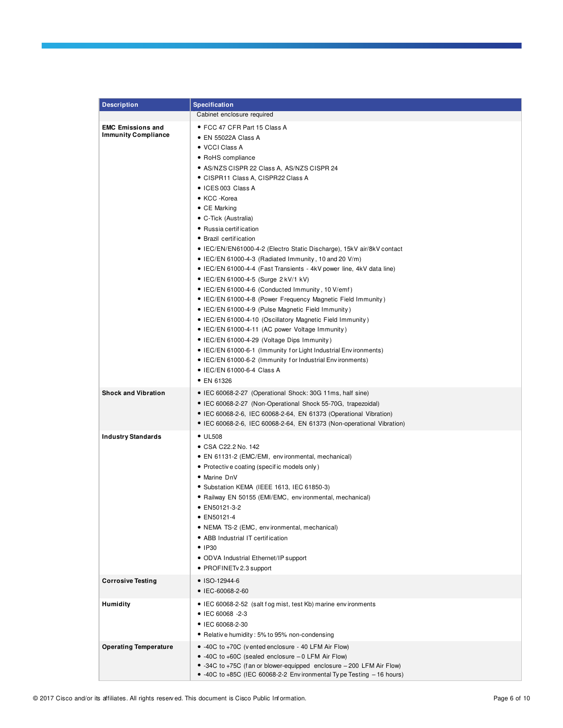| <b>Description</b>                                     | <b>Specification</b>                                                                                                                                                                                                                                                                                                                                                                                                                                                                                                                                                                                                                                                                                                                                                                                                                                                                                                                                                                                                                                                                             |
|--------------------------------------------------------|--------------------------------------------------------------------------------------------------------------------------------------------------------------------------------------------------------------------------------------------------------------------------------------------------------------------------------------------------------------------------------------------------------------------------------------------------------------------------------------------------------------------------------------------------------------------------------------------------------------------------------------------------------------------------------------------------------------------------------------------------------------------------------------------------------------------------------------------------------------------------------------------------------------------------------------------------------------------------------------------------------------------------------------------------------------------------------------------------|
|                                                        | Cabinet enclosure required                                                                                                                                                                                                                                                                                                                                                                                                                                                                                                                                                                                                                                                                                                                                                                                                                                                                                                                                                                                                                                                                       |
| <b>EMC Emissions and</b><br><b>Immunity Compliance</b> | • FCC 47 CFR Part 15 Class A<br>• EN 55022A Class A<br>• VCCI Class A<br>• RoHS compliance<br>• AS/NZS CISPR 22 Class A, AS/NZS CISPR 24<br>● CISPR11 Class A, CISPR22 Class A<br>• ICES 003 Class A<br>• KCC -Korea<br>$\bullet$ CE Marking<br>• C-Tick (Australia)<br>• Russia certification<br>• Brazil certification<br>• IEC/EN/EN61000-4-2 (Electro Static Discharge), 15kV air/8kV contact<br>• IEC/EN 61000-4-3 (Radiated Immunity, 10 and 20 V/m)<br>• IEC/EN 61000-4-4 (Fast Transients - 4kV power line, 4kV data line)<br>• IEC/EN 61000-4-5 (Surge 2 kV/1 kV)<br>• IEC/EN 61000-4-6 (Conducted Immunity, 10 V/emf)<br>• IEC/EN 61000-4-8 (Power Frequency Magnetic Field Immunity)<br>• IEC/EN 61000-4-9 (Pulse Magnetic Field Immunity)<br>• IEC/EN 61000-4-10 (Oscillatory Magnetic Field Immunity)<br>• IEC/EN 61000-4-11 (AC power Voltage Immunity)<br>• IEC/EN 61000-4-29 (Voltage Dips Immunity)<br>• IEC/EN 61000-6-1 (Immunity for Light Industrial Environments)<br>• IEC/EN 61000-6-2 (Immunity for Industrial Environments)<br>• IEC/EN 61000-6-4 Class A<br>• EN 61326 |
| <b>Shock and Vibration</b>                             | · IEC 60068-2-27 (Operational Shock: 30G 11ms, half sine)<br>• IEC 60068-2-27 (Non-Operational Shock 55-70G, trapezoidal)<br>• IEC 60068-2-6, IEC 60068-2-64, EN 61373 (Operational Vibration)<br>• IEC 60068-2-6, IEC 60068-2-64, EN 61373 (Non-operational Vibration)                                                                                                                                                                                                                                                                                                                                                                                                                                                                                                                                                                                                                                                                                                                                                                                                                          |
| <b>Industry Standards</b>                              | $\bullet$ UL508<br>● CSA C22.2 No. 142<br>· EN 61131-2 (EMC/EMI, environmental, mechanical)<br>• Protective coating (specific models only)<br>• Marine DnV<br>• Substation KEMA (IEEE 1613, IEC 61850-3)<br>• Railway EN 50155 (EMI/EMC, environmental, mechanical)<br>• EN50121-3-2<br>• EN50121-4<br>• NEMA TS-2 (EMC, environmental, mechanical)<br>• ABB Industrial IT certification<br>$\bullet$ IP30<br>• ODVA Industrial Ethernet/IP support<br>• PROFINETv 2.3 support                                                                                                                                                                                                                                                                                                                                                                                                                                                                                                                                                                                                                   |
| <b>Corrosive Testing</b>                               | ● ISO-12944-6<br>● IEC-60068-2-60                                                                                                                                                                                                                                                                                                                                                                                                                                                                                                                                                                                                                                                                                                                                                                                                                                                                                                                                                                                                                                                                |
| Humidity                                               | • IEC 60068-2-52 (salt fog mist, test Kb) marine environments<br>• IEC 60068 -2-3<br>• IEC 60068-2-30<br>• Relative humidity: 5% to 95% non-condensing                                                                                                                                                                                                                                                                                                                                                                                                                                                                                                                                                                                                                                                                                                                                                                                                                                                                                                                                           |
| <b>Operating Temperature</b>                           | • -40C to +70C (vented enclosure - 40 LFM Air Flow)<br>• -40C to +60C (sealed enclosure - 0 LFM Air Flow)<br>• -34C to +75C (fan or blower-equipped enclosure - 200 LFM Air Flow)<br>• -40C to +85C (IEC 60068-2-2 Environmental Type Testing -16 hours)                                                                                                                                                                                                                                                                                                                                                                                                                                                                                                                                                                                                                                                                                                                                                                                                                                         |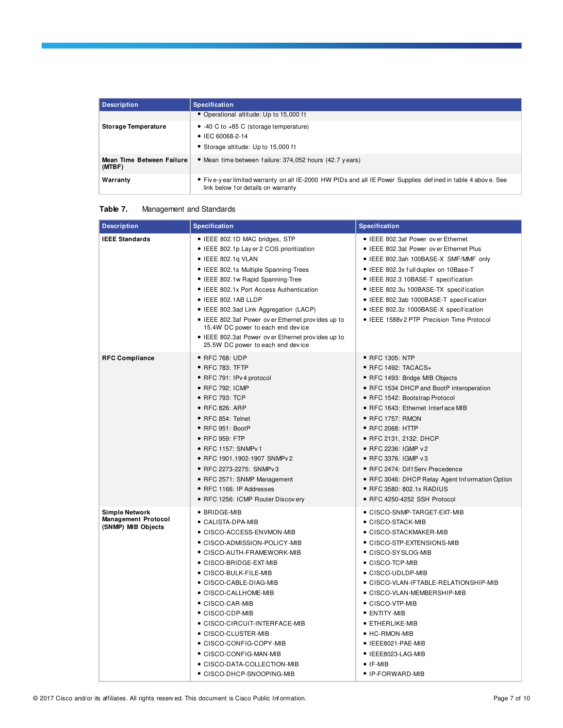| Description                         | <b>Specification</b>                                                                                                                              |
|-------------------------------------|---------------------------------------------------------------------------------------------------------------------------------------------------|
|                                     | • Operational altitude: Up to 15,000 ft                                                                                                           |
| <b>Storage Temperature</b>          | $\bullet$ -40 C to +85 C (storage temperature)<br>• IEC 60068-2-14<br>• Storage altitude: Up to 15,000 ft                                         |
| Mean Time Between Failure<br>(MTBF) | • Mean time between failure: 374,052 hours (42.7 years)                                                                                           |
| Warranty                            | • Five-year limited warranty on all IE-2000 HW PIDs and all IE Power Supplies defined in table 4 above. See<br>link below for details on warranty |

#### **Table 7.** Management and Standards

| <b>Description</b>                                                        | <b>Specification</b>                                                                                                                                                                                                                                                                                                                                                                                                                                                                      | <b>Specification</b>                                                                                                                                                                                                                                                                                                                                                                                                                                              |
|---------------------------------------------------------------------------|-------------------------------------------------------------------------------------------------------------------------------------------------------------------------------------------------------------------------------------------------------------------------------------------------------------------------------------------------------------------------------------------------------------------------------------------------------------------------------------------|-------------------------------------------------------------------------------------------------------------------------------------------------------------------------------------------------------------------------------------------------------------------------------------------------------------------------------------------------------------------------------------------------------------------------------------------------------------------|
| <b>IEEE Standards</b>                                                     | • IEEE 802.1D MAC bridges, STP<br>• IEEE 802.1p Lay er 2 COS prioritization<br>$\bullet$ IEEE 802.1g VLAN<br>• IEEE 802.1s Multiple Spanning-Trees<br>• IEEE 802.1w Rapid Spanning-Tree<br>• IEEE 802.1x Port Access Authentication<br>· IEEE 802.1AB LLDP<br>• IEEE 802.3ad Link Aggregation (LACP)<br>• IEEE 802.3af Power over Ethernet provides up to<br>15.4W DC power to each end device<br>• IEEE 802.3at Power ov er Ethernet provides up to<br>25.5W DC power to each end device | • IEEE 802.3af Power ov er Ethernet<br>• IEEE 802.3at Power ov er Ethernet Plus<br>• IEEE 802.3ah 100BASE-X SMF/MMF only<br>• IEEE 802.3x full duplex on 10Base-T<br>• IEEE 802.3 10BASE-T specification<br>• IEEE 802.3u 100BASE-TX specification<br>• IEEE 802.3ab 1000BASE-T specification<br>• IEEE 802.3z 1000BASE-X specification<br>• IEEE 1588v 2 PTP Precision Time Protocol                                                                             |
| <b>RFC Compliance</b>                                                     | ● RFC 768: UDP<br>$\bullet$ RFC 783: TFTP<br>· RFC 791: IPv 4 protocol<br>• RFC 792: ICMP<br>● RFC 793: TCP<br>● RFC 826: ARP<br>• RFC 854: Telnet<br>$\bullet$ RFC 951: BootP<br>● RFC 959: FTP<br>• RFC 1157: SNMPv 1<br>● RFC 1901,1902-1907 SNMPv 2<br>● RFC 2273-2275: SNMPv3<br>• RFC 2571: SNMP Management<br>• RFC 1166: IP Addresses<br>• RFC 1256: ICMP Router Discovery                                                                                                        | • RFC 1305: NTP<br>• RFC 1492: TACACS+<br>• RFC 1493: Bridge MIB Objects<br>• RFC 1534 DHCP and BootP interoperation<br>• RFC 1542: Bootstrap Protocol<br>• RFC 1643: Ethernet Interface MIB<br>• RFC 1757: RMON<br>● RFC 2068: HTTP<br>• RFC 2131, 2132: DHCP<br>● RFC 2236: IGMP v 2<br>• RFC 3376: IGMP v3<br>• RFC 2474: Diff Serv Precedence<br>• RFC 3046: DHCP Relay Agent Information Option<br>● RFC 3580: 802.1x RADIUS<br>• RFC 4250-4252 SSH Protocol |
| <b>Simple Network</b><br><b>Management Protocol</b><br>(SNMP) MIB Objects | $\bullet$ BRIDGE-MIB<br>● CALISTA-DPA-MIB<br>● CISCO-ACCESS-ENVMON-MIB<br>• CISCO-ADMISSION-POLICY-MIB<br>● CISCO-AUTH-FRAMEWORK-MIB<br>• CISCO-BRIDGE-EXT-MIB<br>• CISCO-BULK-FILE-MIB<br>● CISCO-CABLE-DIAG-MIB<br>• CISCO-CALLHOME-MIB<br>● CISCO-CAR-MIB<br>$\bullet$ CISCO-CDP-MIB<br>• CISCO-CIRCUIT-INTERFACE-MIB<br>$\bullet$ CISCO-CLUSTER-MIB<br>• CISCO-CONFIG-COPY-MIB<br>● CISCO-CONFIG-MAN-MIB<br>• CISCO-DATA-COLLECTION-MIB<br>● CISCO-DHCP-SNOOPING-MIB                  | • CISCO-SNMP-TARGET-EXT-MIB<br>$\bullet$ CISCO-STACK-MIB<br>• CISCO-STACKMAKER-MIB<br>• CISCO-STP-EXTENSIONS-MIB<br>● CISCO-SYSLOG-MIB<br>• CISCO-TCP-MIB<br>• CISCO-UDLDP-MIB<br>• CISCO-VLAN-IFTABLE-RELATIONSHIP-MIB<br>• CISCO-VLAN-MEMBERSHIP-MIB<br>• CISCO-VTP-MIB<br>• ENTITY-MIB<br>• ETHERLIKE-MIB<br>$\bullet$ HC-RMON-MIB<br>• IEEE8021-PAE-MIB<br>• IEEE8023-LAG-MIB<br>$\bullet$ IF-MIB<br>• IP-FORWARD-MIB                                         |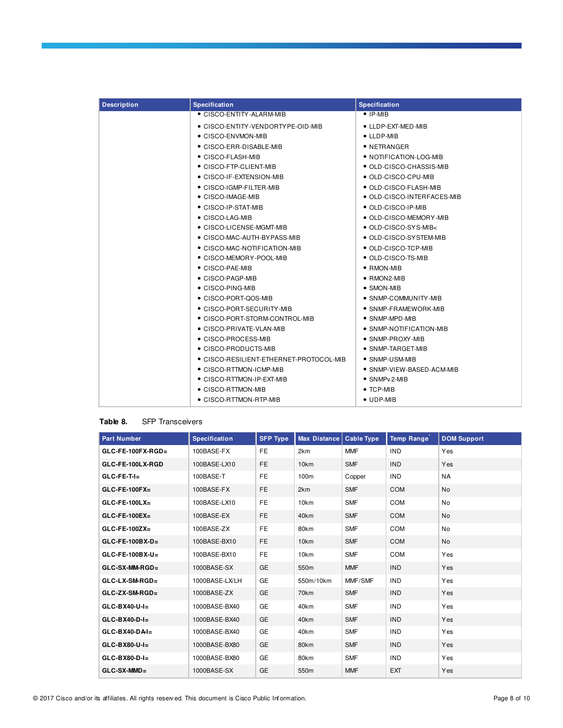| <b>Description</b> | <b>Specification</b>                    | <b>Specification</b>               |
|--------------------|-----------------------------------------|------------------------------------|
|                    | • CISCO-ENTITY-ALARM-MIB                | $\bullet$ IP-MIB                   |
|                    | • CISCO-ENTITY-VENDORTY PE-OID-MIB      | • LLDP-EXT-MED-MIB                 |
|                    | • CISCO-ENVMON-MIB                      | $\bullet$ LLDP-MIB                 |
|                    | • CISCO-ERR-DISABLE-MIB                 | $\bullet$ NETRANGER                |
|                    | $\bullet$ CISCO-FLASH-MIB               | • NOTIFICATION-LOG-MIB             |
|                    | $\bullet$ CISCO-FTP-CLIENT-MIB          | • OLD-CISCO-CHASSIS-MIB            |
|                    | $\bullet$ CISCO-IF-EXTENSION-MIB        | • OLD-CISCO-CPU-MIB                |
|                    | $\bullet$ CISCO-IGMP-FILTER-MIB         | • OLD-CISCO-FLASH-MIB              |
|                    | • CISCO-IMAGE-MIB                       | $\bullet$ OLD-CISCO-INTERFACES-MIB |
|                    | $\bullet$ CISCO-IP-STAT-MIB             | • OLD-CISCO-IP-MIB                 |
|                    | $\bullet$ CISCO-LAG-MIB                 | • OLD-CISCO-MEMORY-MIB             |
|                    | $\bullet$ CISCO-LICENSE-MGMT-MIB        | $\bullet$ OLD-CISCO-SYS-MIB $<$    |
|                    | • CISCO-MAC-AUTH-BYPASS-MIB             | • OLD-CISCO-SYSTEM-MIB             |
|                    | · CISCO-MAC-NOTIFICATION-MIB            | • OLD-CISCO-TCP-MIB                |
|                    | ● CISCO-MEMORY-POOL-MIB                 | • OLD-CISCO-TS-MIB                 |
|                    | • CISCO-PAE-MIB                         | $\bullet$ RMON-MIB                 |
|                    | • CISCO-PAGP-MIB                        | $\bullet$ RMON2-MIB                |
|                    | • CISCO-PING-MIB                        | • SMON-MIB                         |
|                    | • CISCO-PORT-QOS-MIB                    | $\bullet$ SNMP-COMMUNITY-MIB       |
|                    | ● CISCO-PORT-SECURITY-MIB               | $\bullet$ SNMP-FRAMEWORK-MIB       |
|                    | ● CISCO-PORT-STORM-CONTROL-MIB          | $\bullet$ SNMP-MPD-MIB             |
|                    | $\bullet$ CISCO-PRIVATE-VLAN-MIB        | $\bullet$ SNMP-NOTIFICATION-MIB    |
|                    | • CISCO-PROCESS-MIB                     | • SNMP-PROXY-MIB                   |
|                    | $\bullet$ CISCO-PRODUCTS-MIB            | $\bullet$ SNMP-TARGET-MIB          |
|                    | • CISCO-RESILIENT-ETHERNET-PROTOCOL-MIB | $\bullet$ SNMP-USM-MIB             |
|                    | • CISCO-RTTMON-ICMP-MIB                 | $\bullet$ SNMP-VIEW-BASED-ACM-MIB  |
|                    | • CISCO-RTTMON-IP-EXT-MIB               | $\bullet$ SNMP $v$ 2-MIB           |
|                    | • CISCO-RTTMON-MIB                      | $\bullet$ TCP-MIB                  |
|                    | $\bullet$ CISCO-RTTMON-RTP-MIB          | $\bullet$ UDP-MIB                  |

#### **Table 8.** SFP Transceivers

| <b>Part Number</b>   | <b>Specification</b> | <b>SFP Type</b> | Max Distance | <b>Cable Type</b> | <b>Temp Range</b> | <b>DOM Support</b> |
|----------------------|----------------------|-----------------|--------------|-------------------|-------------------|--------------------|
| $GLC$ -FE-100FX-RGD= | 100BASE-FX           | <b>FE</b>       | 2km          | <b>MMF</b>        | <b>IND</b>        | Yes                |
| GLC-FE-100LX-RGD     | 100BASE-LX10         | <b>FE</b>       | 10km         | <b>SMF</b>        | <b>IND</b>        | Yes                |
| $GLC-FE-T-I=$        | 100BASE-T            | <b>FE</b>       | 100m         | Copper            | <b>IND</b>        | <b>NA</b>          |
| $GLC$ -FE-100FX=     | 100BASE-FX           | <b>FE</b>       | 2km          | <b>SMF</b>        | COM               | No                 |
| $GLC$ -FE-100LX=     | 100BASE-LX10         | <b>FE</b>       | 10km         | <b>SMF</b>        | COM               | No                 |
| $GLC$ -FE-100EX=     | 100BASE-EX           | <b>FE</b>       | 40km         | <b>SMF</b>        | COM               | No                 |
| $GLC$ -FE-100ZX=     | 100BASE-ZX           | <b>FE</b>       | 80km         | <b>SMF</b>        | COM               | <b>No</b>          |
| $GLC$ -FE-100BX-D=   | 100BASE-BX10         | <b>FE</b>       | 10km         | <b>SMF</b>        | COM               | No                 |
| $GLC$ -FE-100BX-U=   | 100BASE-BX10         | <b>FE</b>       | 10km         | <b>SMF</b>        | COM               | Yes                |
| $GLC-SX-MM-RGD =$    | 1000BASE-SX          | <b>GE</b>       | 550m         | <b>MMF</b>        | <b>IND</b>        | Yes                |
| $GLC-LX-SM-RGD=$     | 1000BASE-LX/LH       | <b>GE</b>       | 550m/10km    | MMF/SMF           | <b>IND</b>        | Yes                |
| $GLC$ -ZX-SM-RGD=    | 1000BASE-ZX          | GE              | 70km         | <b>SMF</b>        | <b>IND</b>        | Yes                |
| $GLC-BX40-U-I=$      | 1000BASE-BX40        | <b>GE</b>       | 40km         | <b>SMF</b>        | <b>IND</b>        | Yes                |
| $GLC-BX40-D-I=$      | 1000BASE-BX40        | <b>GE</b>       | 40km         | <b>SMF</b>        | <b>IND</b>        | Yes                |
| $GLC-BX40-DAI=$      | 1000BASE-BX40        | GE              | 40km         | <b>SMF</b>        | <b>IND</b>        | Yes                |
| $GLC-BX80-U-I=$      | 1000BASE-BX80        | <b>GE</b>       | 80km         | <b>SMF</b>        | <b>IND</b>        | Yes                |
| $GLC-BX80-D-I=$      | 1000BASE-BX80        | <b>GE</b>       | 80km         | <b>SMF</b>        | <b>IND</b>        | Yes                |
| GLC-SX-MMD=          | 1000BASE-SX          | GE              | 550m         | <b>MMF</b>        | <b>EXT</b>        | Yes                |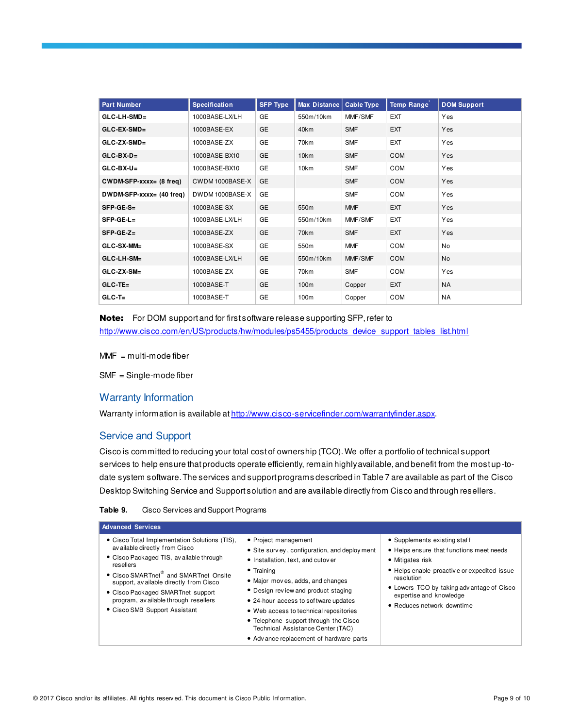| <b>Part Number</b>          | <b>Specification</b> | <b>SFP Type</b> | <b>Max Distance</b> | <b>Cable Type</b> | <b>Temp Range</b> | <b>DOM Support</b> |
|-----------------------------|----------------------|-----------------|---------------------|-------------------|-------------------|--------------------|
| GLC-LH-SMD=                 | 1000BASE-LX/LH       | GE              | 550m/10km           | MMF/SMF           | EXT               | Yes                |
| GLC-EX-SMD=                 | 1000BASE-EX          | GE              | 40km                | <b>SMF</b>        | EXT               | Yes                |
| $GLC-ZX-SMD =$              | 1000BASE-ZX          | GE              | 70km                | <b>SMF</b>        | <b>EXT</b>        | Yes                |
| $GLC-BX-D-$                 | 1000BASE-BX10        | GE              | 10km                | <b>SMF</b>        | COM               | Yes                |
| $GLC-BX-U=$                 | 1000BASE-BX10        | GE              | 10km                | <b>SMF</b>        | COM               | Yes                |
| $CWDM-SFP-xxxxz = (8 freq)$ | CWDM 1000BASE-X      | GE              |                     | <b>SMF</b>        | COM               | Yes                |
| $DWDM-SFP-xxxx = (40 freq)$ | DWDM1000BASE-X       | GE              |                     | <b>SMF</b>        | COM               | Yes                |
| SFP-GE-S=                   | 1000BASE-SX          | GE              | 550m                | <b>MMF</b>        | EXT               | Yes                |
| $SFP-GE-L=$                 | 1000BASE-LX/LH       | GE              | 550m/10km           | MMF/SMF           | EXT               | Yes                |
| $SFP-GE-Z=$                 | 1000BASE-ZX          | GE              | 70km                | <b>SMF</b>        | <b>EXT</b>        | Yes                |
| GLC-SX-MM=                  | 1000BASE-SX          | GE              | 550 <sub>m</sub>    | <b>MMF</b>        | COM               | No                 |
| GLC-LH-SM-                  | 1000BASE-LX/LH       | GE              | 550m/10km           | MMF/SMF           | <b>COM</b>        | No                 |
| GLC-ZX-SM-                  | 1000BASE-ZX          | <b>GE</b>       | 70km                | <b>SMF</b>        | COM               | Yes                |
| $GLC-TE=$                   | 1000BASE-T           | GE              | 100m                | Copper            | <b>EXT</b>        | <b>NA</b>          |
| $GLC-T=$                    | 1000BASE-T           | GE              | 100m                | Copper            | COM               | <b>NA</b>          |

Note: For DOM support and for first software release supporting SFP, refer to [http://www.cisco.com/en/US/products/hw/modules/ps5455/products\\_device\\_support\\_tables\\_list.html](http://www.cisco.com/en/US/products/hw/modules/ps5455/products_device_support_tables_list.html)

 $MMF = multi-mode fiber$ 

SMF = Single-mode fiber

# Warranty Information

Warranty information is available a[t http://www.cisco-servicefinder.com/warrantyfinder.aspx](http://www.cisco-servicefinder.com/warrantyfinder.aspx).

# Service and Support

Cisco is committed to reducing your total cost of ownership (TCO). We offer a portfolio of technical support services to help ensure that products operate efficiently, remain highly available, and benefit from the most up-todate system software. The services and support programs described in Table 7 are available as part of the Cisco Desktop Switching Service and Support solution and are available directly from Cisco and through resellers.

| Table 9. | Cisco Services and Support Programs |
|----------|-------------------------------------|
|----------|-------------------------------------|

| <b>Advanced Services</b>                                                                                                                                                                                                                                                                                                                              |                                                                                                                                                                                                                                                                                                                                                                                                                          |                                                                                                                                                                                                                                                                  |
|-------------------------------------------------------------------------------------------------------------------------------------------------------------------------------------------------------------------------------------------------------------------------------------------------------------------------------------------------------|--------------------------------------------------------------------------------------------------------------------------------------------------------------------------------------------------------------------------------------------------------------------------------------------------------------------------------------------------------------------------------------------------------------------------|------------------------------------------------------------------------------------------------------------------------------------------------------------------------------------------------------------------------------------------------------------------|
| • Cisco Total Implementation Solutions (TIS),<br>av ailable directly from Cisco<br>• Cisco Packaged TIS, available through<br>resellers<br>• Cisco SMARTnet <sup>®</sup> and SMARTnet Onsite<br>support, available directly from Cisco<br>• Cisco Packaged SMARTnet support<br>program, av ailable through resellers<br>• Cisco SMB Support Assistant | • Project management<br>• Site survey, configuration, and deploy ment<br>• Installation, text, and cutover<br>$\bullet$ Training<br>• Major moves, adds, and changes<br>• Design review and product staging<br>• 24-hour access to sof tware updates<br>• Web access to technical repositories<br>• Telephone support through the Cisco<br>Technical Assistance Center (TAC)<br>• Adv ance replacement of hardware parts | • Supplements existing staff<br>• Helps ensure that functions meet needs<br>• Mitigates risk<br>• Helps enable proactive or expedited issue<br>resolution<br>• Lowers TCO by taking adv antage of Cisco<br>expertise and knowledge<br>• Reduces network downtime |